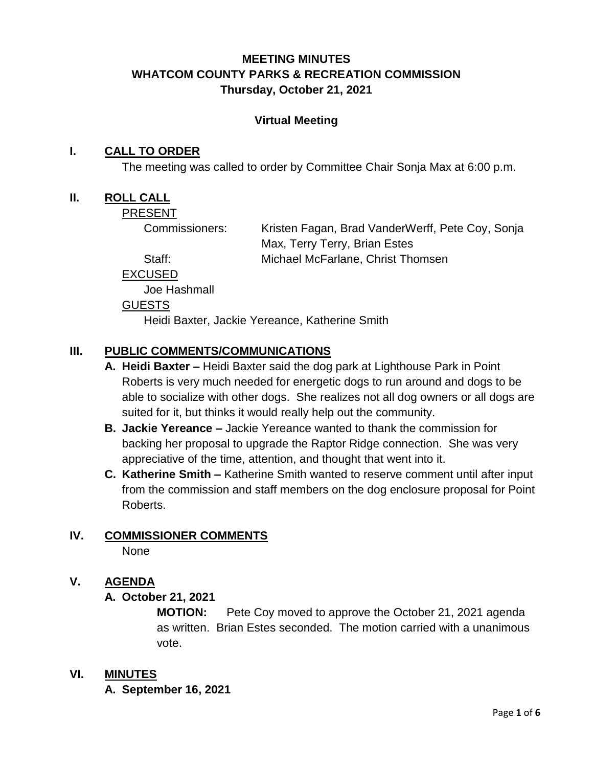# **MEETING MINUTES WHATCOM COUNTY PARKS & RECREATION COMMISSION Thursday, October 21, 2021**

#### **Virtual Meeting**

#### **I. CALL TO ORDER**

The meeting was called to order by Committee Chair Sonja Max at 6:00 p.m.

#### **II. ROLL CALL**

PRESENT

Commissioners: Kristen Fagan, Brad VanderWerff, Pete Coy, Sonja Max, Terry Terry, Brian Estes Staff: Michael McFarlane, Christ Thomsen

EXCUSED

Joe Hashmall

#### **GUESTS**

Heidi Baxter, Jackie Yereance, Katherine Smith

## **III. PUBLIC COMMENTS/COMMUNICATIONS**

- **A. Heidi Baxter –** Heidi Baxter said the dog park at Lighthouse Park in Point Roberts is very much needed for energetic dogs to run around and dogs to be able to socialize with other dogs. She realizes not all dog owners or all dogs are suited for it, but thinks it would really help out the community.
- **B. Jackie Yereance –** Jackie Yereance wanted to thank the commission for backing her proposal to upgrade the Raptor Ridge connection. She was very appreciative of the time, attention, and thought that went into it.
- **C. Katherine Smith –** Katherine Smith wanted to reserve comment until after input from the commission and staff members on the dog enclosure proposal for Point Roberts.

# **IV. COMMISSIONER COMMENTS**

None

#### **V. AGENDA**

#### **A. October 21, 2021**

**MOTION:** Pete Coy moved to approve the October 21, 2021 agenda as written. Brian Estes seconded. The motion carried with a unanimous vote.

#### **VI. MINUTES**

**A. September 16, 2021**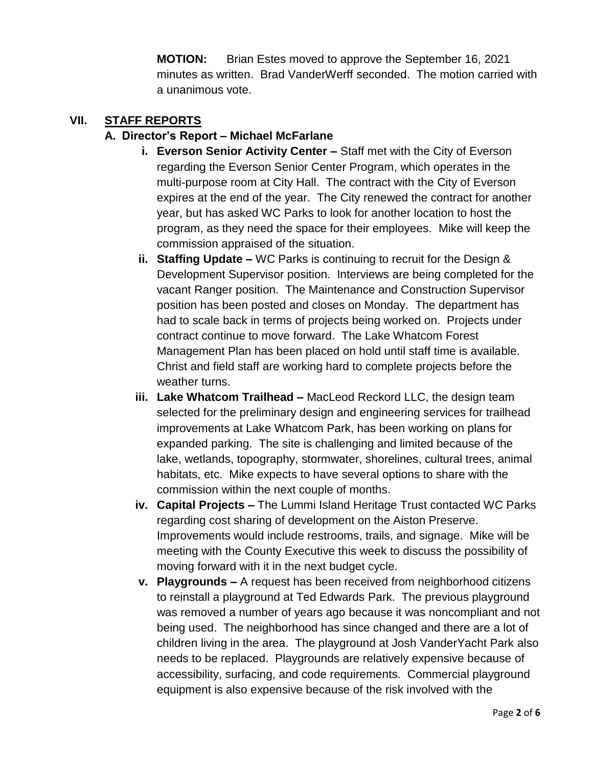**MOTION:** Brian Estes moved to approve the September 16, 2021 minutes as written. Brad VanderWerff seconded. The motion carried with a unanimous vote.

#### **VII. STAFF REPORTS**

## **A. Director's Report – Michael McFarlane**

- **i. Everson Senior Activity Center –** Staff met with the City of Everson regarding the Everson Senior Center Program, which operates in the multi-purpose room at City Hall. The contract with the City of Everson expires at the end of the year. The City renewed the contract for another year, but has asked WC Parks to look for another location to host the program, as they need the space for their employees. Mike will keep the commission appraised of the situation.
- **ii. Staffing Update –** WC Parks is continuing to recruit for the Design & Development Supervisor position. Interviews are being completed for the vacant Ranger position. The Maintenance and Construction Supervisor position has been posted and closes on Monday. The department has had to scale back in terms of projects being worked on. Projects under contract continue to move forward. The Lake Whatcom Forest Management Plan has been placed on hold until staff time is available. Christ and field staff are working hard to complete projects before the weather turns.
- **iii. Lake Whatcom Trailhead –** MacLeod Reckord LLC, the design team selected for the preliminary design and engineering services for trailhead improvements at Lake Whatcom Park, has been working on plans for expanded parking. The site is challenging and limited because of the lake, wetlands, topography, stormwater, shorelines, cultural trees, animal habitats, etc. Mike expects to have several options to share with the commission within the next couple of months.
- **iv. Capital Projects –** The Lummi Island Heritage Trust contacted WC Parks regarding cost sharing of development on the Aiston Preserve. Improvements would include restrooms, trails, and signage. Mike will be meeting with the County Executive this week to discuss the possibility of moving forward with it in the next budget cycle.
- **v. Playgrounds –** A request has been received from neighborhood citizens to reinstall a playground at Ted Edwards Park. The previous playground was removed a number of years ago because it was noncompliant and not being used. The neighborhood has since changed and there are a lot of children living in the area. The playground at Josh VanderYacht Park also needs to be replaced. Playgrounds are relatively expensive because of accessibility, surfacing, and code requirements. Commercial playground equipment is also expensive because of the risk involved with the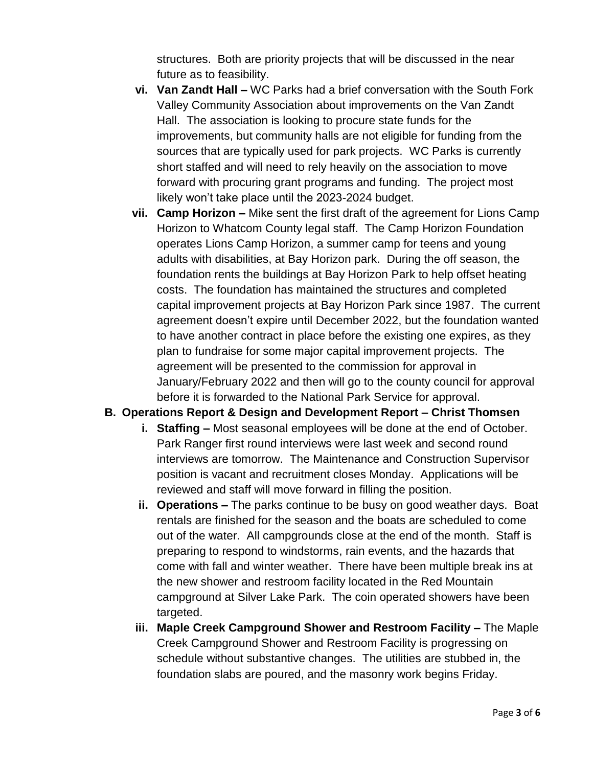structures. Both are priority projects that will be discussed in the near future as to feasibility.

- **vi. Van Zandt Hall –** WC Parks had a brief conversation with the South Fork Valley Community Association about improvements on the Van Zandt Hall. The association is looking to procure state funds for the improvements, but community halls are not eligible for funding from the sources that are typically used for park projects. WC Parks is currently short staffed and will need to rely heavily on the association to move forward with procuring grant programs and funding. The project most likely won't take place until the 2023-2024 budget.
- **vii. Camp Horizon –** Mike sent the first draft of the agreement for Lions Camp Horizon to Whatcom County legal staff. The Camp Horizon Foundation operates Lions Camp Horizon, a summer camp for teens and young adults with disabilities, at Bay Horizon park. During the off season, the foundation rents the buildings at Bay Horizon Park to help offset heating costs. The foundation has maintained the structures and completed capital improvement projects at Bay Horizon Park since 1987. The current agreement doesn't expire until December 2022, but the foundation wanted to have another contract in place before the existing one expires, as they plan to fundraise for some major capital improvement projects. The agreement will be presented to the commission for approval in January/February 2022 and then will go to the county council for approval before it is forwarded to the National Park Service for approval.

#### **B. Operations Report & Design and Development Report – Christ Thomsen**

- **i. Staffing –** Most seasonal employees will be done at the end of October. Park Ranger first round interviews were last week and second round interviews are tomorrow. The Maintenance and Construction Supervisor position is vacant and recruitment closes Monday. Applications will be reviewed and staff will move forward in filling the position.
- **ii. Operations –** The parks continue to be busy on good weather days. Boat rentals are finished for the season and the boats are scheduled to come out of the water. All campgrounds close at the end of the month. Staff is preparing to respond to windstorms, rain events, and the hazards that come with fall and winter weather. There have been multiple break ins at the new shower and restroom facility located in the Red Mountain campground at Silver Lake Park. The coin operated showers have been targeted.
- **iii. Maple Creek Campground Shower and Restroom Facility –** The Maple Creek Campground Shower and Restroom Facility is progressing on schedule without substantive changes. The utilities are stubbed in, the foundation slabs are poured, and the masonry work begins Friday.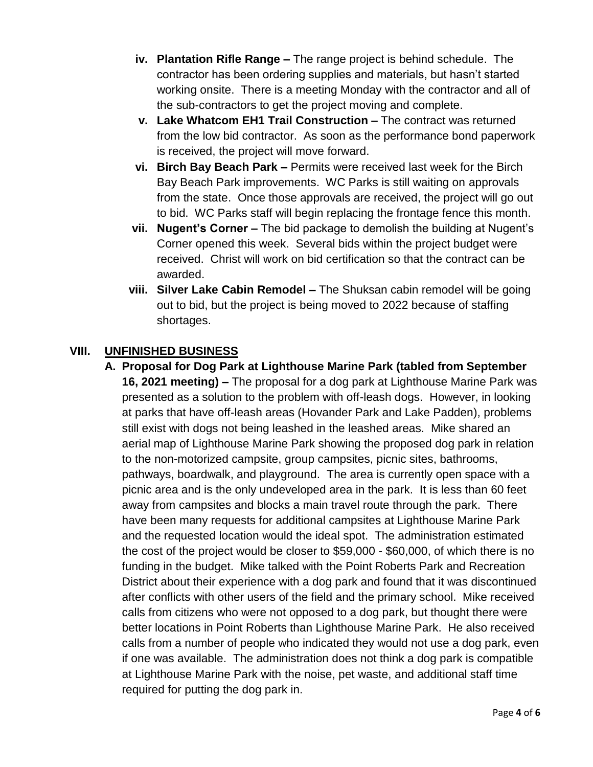- **iv. Plantation Rifle Range –** The range project is behind schedule. The contractor has been ordering supplies and materials, but hasn't started working onsite. There is a meeting Monday with the contractor and all of the sub-contractors to get the project moving and complete.
- **v. Lake Whatcom EH1 Trail Construction –** The contract was returned from the low bid contractor. As soon as the performance bond paperwork is received, the project will move forward.
- **vi. Birch Bay Beach Park –** Permits were received last week for the Birch Bay Beach Park improvements. WC Parks is still waiting on approvals from the state. Once those approvals are received, the project will go out to bid. WC Parks staff will begin replacing the frontage fence this month.
- **vii. Nugent's Corner –** The bid package to demolish the building at Nugent's Corner opened this week. Several bids within the project budget were received. Christ will work on bid certification so that the contract can be awarded.
- **viii. Silver Lake Cabin Remodel –** The Shuksan cabin remodel will be going out to bid, but the project is being moved to 2022 because of staffing shortages.

## **VIII. UNFINISHED BUSINESS**

**A. Proposal for Dog Park at Lighthouse Marine Park (tabled from September 16, 2021 meeting) –** The proposal for a dog park at Lighthouse Marine Park was presented as a solution to the problem with off-leash dogs. However, in looking at parks that have off-leash areas (Hovander Park and Lake Padden), problems still exist with dogs not being leashed in the leashed areas. Mike shared an aerial map of Lighthouse Marine Park showing the proposed dog park in relation to the non-motorized campsite, group campsites, picnic sites, bathrooms, pathways, boardwalk, and playground. The area is currently open space with a picnic area and is the only undeveloped area in the park. It is less than 60 feet away from campsites and blocks a main travel route through the park. There have been many requests for additional campsites at Lighthouse Marine Park and the requested location would the ideal spot. The administration estimated the cost of the project would be closer to \$59,000 - \$60,000, of which there is no funding in the budget. Mike talked with the Point Roberts Park and Recreation District about their experience with a dog park and found that it was discontinued after conflicts with other users of the field and the primary school. Mike received calls from citizens who were not opposed to a dog park, but thought there were better locations in Point Roberts than Lighthouse Marine Park. He also received calls from a number of people who indicated they would not use a dog park, even if one was available. The administration does not think a dog park is compatible at Lighthouse Marine Park with the noise, pet waste, and additional staff time required for putting the dog park in.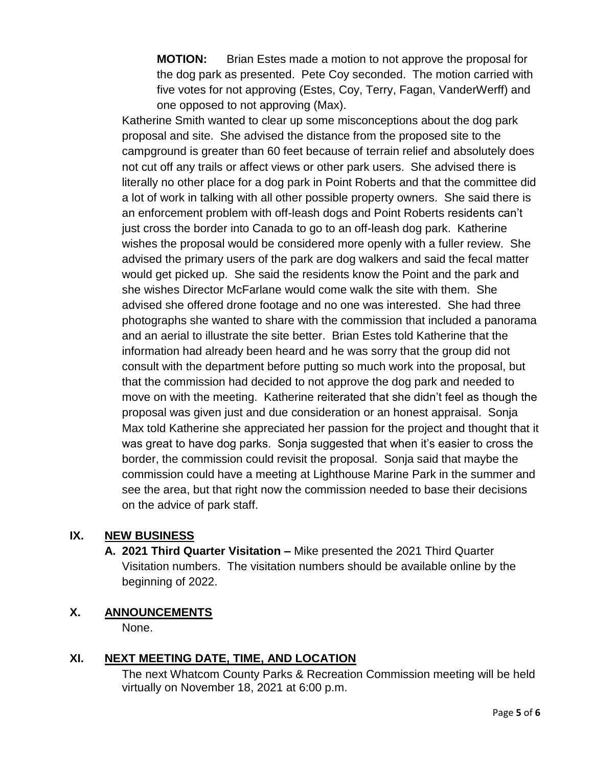**MOTION:** Brian Estes made a motion to not approve the proposal for the dog park as presented. Pete Coy seconded. The motion carried with five votes for not approving (Estes, Coy, Terry, Fagan, VanderWerff) and one opposed to not approving (Max).

Katherine Smith wanted to clear up some misconceptions about the dog park proposal and site. She advised the distance from the proposed site to the campground is greater than 60 feet because of terrain relief and absolutely does not cut off any trails or affect views or other park users. She advised there is literally no other place for a dog park in Point Roberts and that the committee did a lot of work in talking with all other possible property owners. She said there is an enforcement problem with off-leash dogs and Point Roberts residents can't just cross the border into Canada to go to an off-leash dog park. Katherine wishes the proposal would be considered more openly with a fuller review. She advised the primary users of the park are dog walkers and said the fecal matter would get picked up. She said the residents know the Point and the park and she wishes Director McFarlane would come walk the site with them. She advised she offered drone footage and no one was interested. She had three photographs she wanted to share with the commission that included a panorama and an aerial to illustrate the site better. Brian Estes told Katherine that the information had already been heard and he was sorry that the group did not consult with the department before putting so much work into the proposal, but that the commission had decided to not approve the dog park and needed to move on with the meeting. Katherine reiterated that she didn't feel as though the proposal was given just and due consideration or an honest appraisal. Sonja Max told Katherine she appreciated her passion for the project and thought that it was great to have dog parks. Sonja suggested that when it's easier to cross the border, the commission could revisit the proposal. Sonja said that maybe the commission could have a meeting at Lighthouse Marine Park in the summer and see the area, but that right now the commission needed to base their decisions on the advice of park staff.

#### **IX. NEW BUSINESS**

**A. 2021 Third Quarter Visitation –** Mike presented the 2021 Third Quarter Visitation numbers. The visitation numbers should be available online by the beginning of 2022.

# **X. ANNOUNCEMENTS**

None.

# **XI. NEXT MEETING DATE, TIME, AND LOCATION**

The next Whatcom County Parks & Recreation Commission meeting will be held virtually on November 18, 2021 at 6:00 p.m.